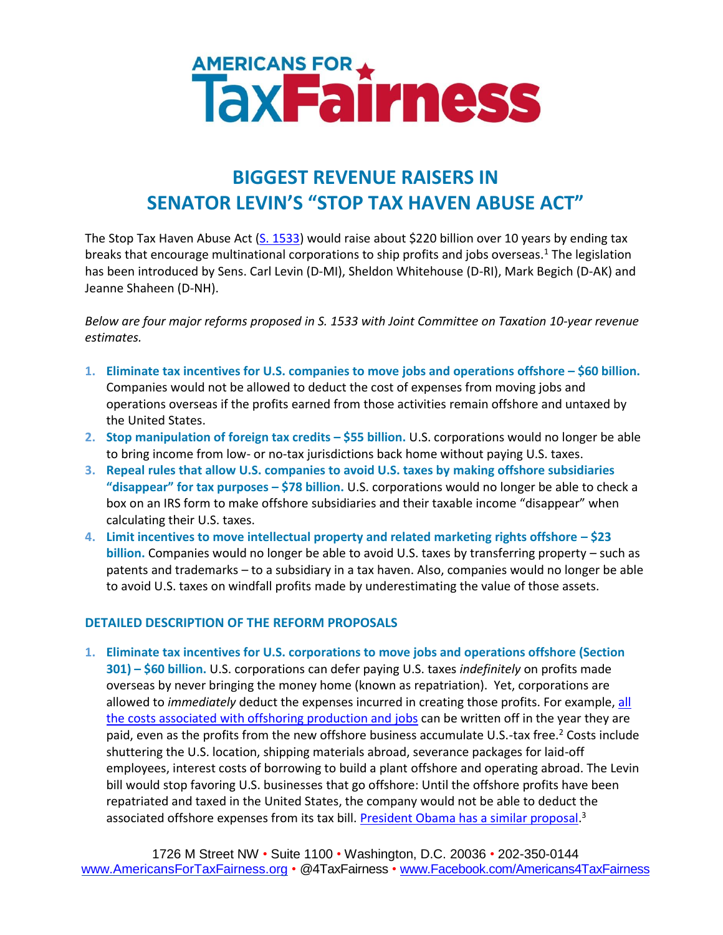## AMERICANS FOR

## **BIGGEST REVENUE RAISERS IN SENATOR LEVIN'S "STOP TAX HAVEN ABUSE ACT"**

The Stop Tax Haven Abuse Act [\(S. 1533\)](http://thomas.loc.gov/cgi-bin/bdquery/D?d113:1:./temp/~bdNT0V::|/home/LegislativeData.php|) would raise about \$220 billion over 10 years by ending tax breaks that encourage multinational corporations to ship profits and jobs overseas.<sup>1</sup> The legislation has been introduced by Sens. Carl Levin (D-MI), Sheldon Whitehouse (D-RI), Mark Begich (D-AK) and Jeanne Shaheen (D-NH).

*Below are four major reforms proposed in S. 1533 with Joint Committee on Taxation 10-year revenue estimates.*

- **1. Eliminate tax incentives for U.S. companies to move jobs and operations offshore – \$60 billion.**  Companies would not be allowed to deduct the cost of expenses from moving jobs and operations overseas if the profits earned from those activities remain offshore and untaxed by the United States.
- **2. Stop manipulation of foreign tax credits – \$55 billion.** U.S. corporations would no longer be able to bring income from low- or no-tax jurisdictions back home without paying U.S. taxes.
- **3. Repeal rules that allow U.S. companies to avoid U.S. taxes by making offshore subsidiaries "disappear" for tax purposes – \$78 billion.** U.S. corporations would no longer be able to check a box on an IRS form to make offshore subsidiaries and their taxable income "disappear" when calculating their U.S. taxes.
- **4. Limit incentives to move intellectual property and related marketing rights offshore – \$23 billion.** Companies would no longer be able to avoid U.S. taxes by transferring property – such as patents and trademarks – to a subsidiary in a tax haven. Also, companies would no longer be able to avoid U.S. taxes on windfall profits made by underestimating the value of those assets.

## **DETAILED DESCRIPTION OF THE REFORM PROPOSALS**

**1. Eliminate tax incentives for U.S. corporations to move jobs and operations offshore (Section 301) – \$60 billion.** U.S. corporations can defer paying U.S. taxes *indefinitely* on profits made overseas by never bringing the money home (known as repatriation). Yet, corporations are allowed to *immediately* deduct the expenses incurred in creating those profits. For example[, all](http://www.levin.senate.gov/newsroom/speeches/speech/senate-floor-statement-on-introducing-the-stop-tax-haven-abuse-act/?section=alltypes)  [the costs associated with offshoring production and](http://www.levin.senate.gov/newsroom/speeches/speech/senate-floor-statement-on-introducing-the-stop-tax-haven-abuse-act/?section=alltypes) jobs can be written off in the year they are paid, even as the profits from the new offshore business accumulate U.S.-tax free.<sup>2</sup> Costs include shuttering the U.S. location, shipping materials abroad, severance packages for laid-off employees, interest costs of borrowing to build a plant offshore and operating abroad. The Levin bill would stop favoring U.S. businesses that go offshore: Until the offshore profits have been repatriated and taxed in the United States, the company would not be able to deduct the associated offshore expenses from its tax bill. <u>[President Obama has](https://www.jct.gov/publications.html?func=download&id=4465&chk=4465&no_html=1) a similar proposal</u>.<sup>3</sup>